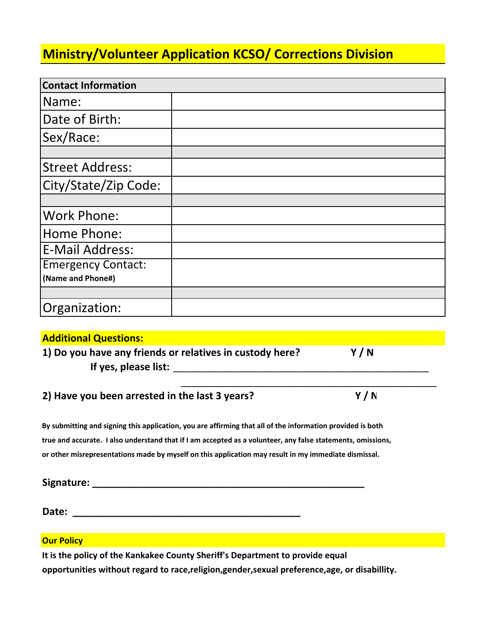### **Ministry/Volunteer Application KCSO/ Corrections Division**

| <b>Contact Information</b> |  |
|----------------------------|--|
| Name:                      |  |
| Date of Birth:             |  |
| Sex/Race:                  |  |
|                            |  |
| <b>Street Address:</b>     |  |
| City/State/Zip Code:       |  |
|                            |  |
| <b>Work Phone:</b>         |  |
| Home Phone:                |  |
| <b>E-Mail Address:</b>     |  |
| <b>Emergency Contact:</b>  |  |
| (Name and Phone#)          |  |
|                            |  |
| Organization:              |  |

**Additional Questions: 1) Do you have any friends or relatives in custody here? Y / N If yes, please list:** \_\_\_\_\_\_\_\_\_\_\_\_\_\_\_\_\_\_\_\_\_\_\_\_\_\_\_\_\_\_\_\_\_\_\_\_\_\_\_\_\_\_\_\_\_\_ \_\_\_\_\_\_\_\_\_\_\_\_\_\_\_\_\_\_\_\_\_\_\_\_\_\_\_\_\_\_\_\_\_\_\_\_\_\_\_\_\_\_\_\_\_\_

**2) Have you been arrested in the last 3 years? Y / N**

By submitting and signing this application, you are affirming that all of the information provided is both true and accurate. I also understand that if I am accepted as a volunteer, any false statements, omissions, **or other misrepresentations made by myself on this application may result in my immediate dismissal.**

Signature: **Date: \_\_\_\_\_\_\_\_\_\_\_\_\_\_\_\_\_\_\_\_\_\_\_\_\_\_\_\_\_\_\_\_\_\_\_\_\_\_\_\_\_**

**Our Policy**

**It is the policy of the Kankakee County Sheriff's Department to provide equal opportunities without regard to race,religion,gender,sexual preference,age, or disabillity.**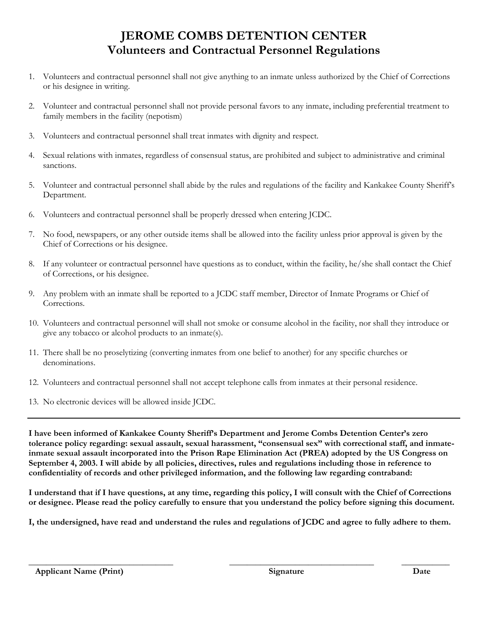#### **JEROME COMBS DETENTION CENTER Volunteers and Contractual Personnel Regulations**

- 1. Volunteers and contractual personnel shall not give anything to an inmate unless authorized by the Chief of Corrections or his designee in writing.
- 2. Volunteer and contractual personnel shall not provide personal favors to any inmate, including preferential treatment to family members in the facility (nepotism)
- 3. Volunteers and contractual personnel shall treat inmates with dignity and respect.
- 4. Sexual relations with inmates, regardless of consensual status, are prohibited and subject to administrative and criminal sanctions.
- 5. Volunteer and contractual personnel shall abide by the rules and regulations of the facility and Kankakee County Sheriff's Department.
- 6. Volunteers and contractual personnel shall be properly dressed when entering JCDC.
- 7. No food, newspapers, or any other outside items shall be allowed into the facility unless prior approval is given by the Chief of Corrections or his designee.
- 8. If any volunteer or contractual personnel have questions as to conduct, within the facility, he/she shall contact the Chief of Corrections, or his designee.
- 9. Any problem with an inmate shall be reported to a JCDC staff member, Director of Inmate Programs or Chief of Corrections.
- 10. Volunteers and contractual personnel will shall not smoke or consume alcohol in the facility, nor shall they introduce or give any tobacco or alcohol products to an inmate(s).
- 11. There shall be no proselytizing (converting inmates from one belief to another) for any specific churches or denominations.
- 12. Volunteers and contractual personnel shall not accept telephone calls from inmates at their personal residence.
- 13. No electronic devices will be allowed inside JCDC.

**I have been informed of Kankakee County Sheriff's Department and Jerome Combs Detention Center's zero tolerance policy regarding: sexual assault, sexual harassment, "consensual sex" with correctional staff, and inmateinmate sexual assault incorporated into the Prison Rape Elimination Act (PREA) adopted by the US Congress on September 4, 2003. I will abide by all policies, directives, rules and regulations including those in reference to confidentiality of records and other privileged information, and the following law regarding contraband:** 

**I understand that if I have questions, at any time, regarding this policy, I will consult with the Chief of Corrections or designee. Please read the policy carefully to ensure that you understand the policy before signing this document.** 

**I, the undersigned, have read and understand the rules and regulations of JCDC and agree to fully adhere to them.**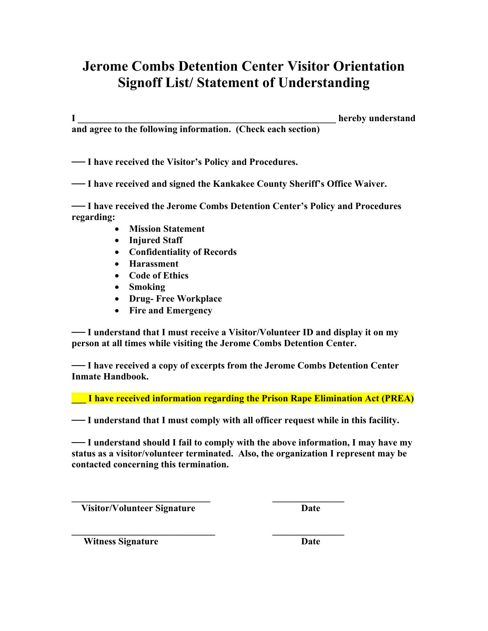### **Jerome Combs Detention Center Visitor Orientation Signoff List/ Statement of Understanding**

**I \_\_\_\_\_\_\_\_\_\_\_\_\_\_\_\_\_\_\_\_\_\_\_\_\_\_\_\_\_\_\_\_\_\_\_\_\_\_\_\_\_\_\_\_\_\_\_\_\_\_\_\_\_\_ hereby understand and agree to the following information. (Check each section)** 

**── I have received the Visitor's Policy and Procedures.** 

**── I have received and signed the Kankakee County Sheriff's Office Waiver.** 

**── I have received the Jerome Combs Detention Center's Policy and Procedures regarding:** 

- **Mission Statement**
- **Injured Staff**
- **Confidentiality of Records**
- **Harassment**
- **Code of Ethics**
- **Smoking**
- **Drug- Free Workplace**
- **Fire and Emergency**

**── I understand that I must receive a Visitor/Volunteer ID and display it on my person at all times while visiting the Jerome Combs Detention Center.** 

**── I have received a copy of excerpts from the Jerome Combs Detention Center Inmate Handbook.** 

**\_\_\_ I have received information regarding the Prison Rape Elimination Act (PREA)** 

**── I understand that I must comply with all officer request while in this facility.** 

**\_\_\_\_\_\_\_\_\_\_\_\_\_\_\_\_\_\_\_\_\_\_\_\_\_\_\_\_\_ \_\_\_\_\_\_\_\_\_\_\_\_\_\_\_** 

 $\mathcal{L} = \{ \mathcal{L} \mid \mathcal{L} \in \mathcal{L} \}$ 

**── I understand should I fail to comply with the above information, I may have my status as a visitor/volunteer terminated. Also, the organization I represent may be contacted concerning this termination.** 

 **Visitor/Volunteer Signature Date** 

**Witness Signature Date**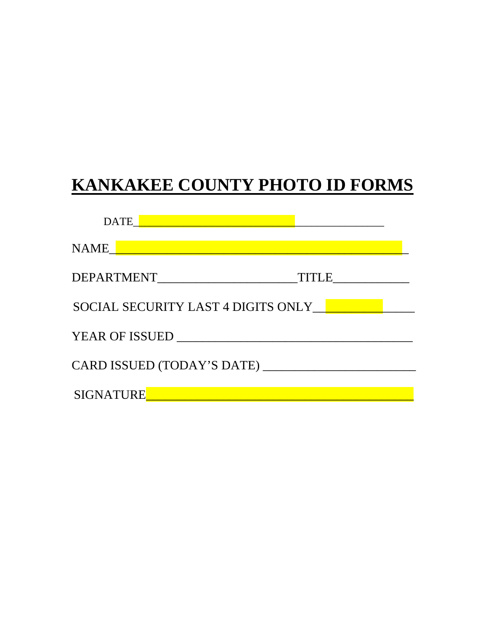# **KANKAKEE COUNTY PHOTO ID FORMS**

| <b>DATE</b>                        |  |
|------------------------------------|--|
| <b>NAME</b>                        |  |
| DEPARTMENT<br><b>TITLE</b>         |  |
| SOCIAL SECURITY LAST 4 DIGITS ONLY |  |
| <b>YEAR OF ISSUED</b>              |  |
| CARD ISSUED (TODAY'S DATE) ___     |  |
| <b>SIGNATURE</b>                   |  |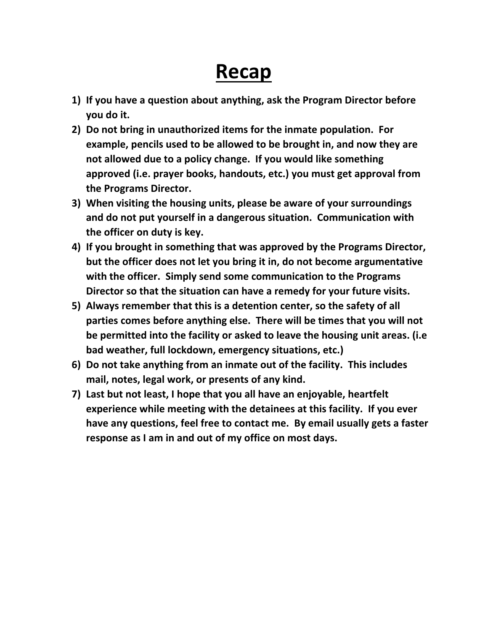## **Recap**

- **1) If you have a question about anything, ask the Program Director before you do it.**
- **2) Do not bring in unauthorized items for the inmate population. For example, pencils used to be allowed to be brought in, and now they are not allowed due to a policy change. If you would like something approved (i.e. prayer books, handouts, etc.) you must get approval from the Programs Director.**
- **3) When visiting the housing units, please be aware of your surroundings and do not put yourself in a dangerous situation. Communication with the officer on duty is key.**
- **4) If you brought in something that was approved by the Programs Director, but the officer does not let you bring it in, do not become argumentative with the officer. Simply send some communication to the Programs Director so that the situation can have a remedy for your future visits.**
- **5) Always remember that this is a detention center, so the safety of all parties comes before anything else. There will be times that you will not be permitted into the facility or asked to leave the housing unit areas. (i.e bad weather, full lockdown, emergency situations, etc.)**
- **6) Do not take anything from an inmate out of the facility. This includes mail, notes, legal work, or presents of any kind.**
- **7) Last but not least, I hope that you all have an enjoyable, heartfelt experience while meeting with the detainees at this facility. If you ever have any questions, feel free to contact me. By email usually gets a faster response as I am in and out of my office on most days.**